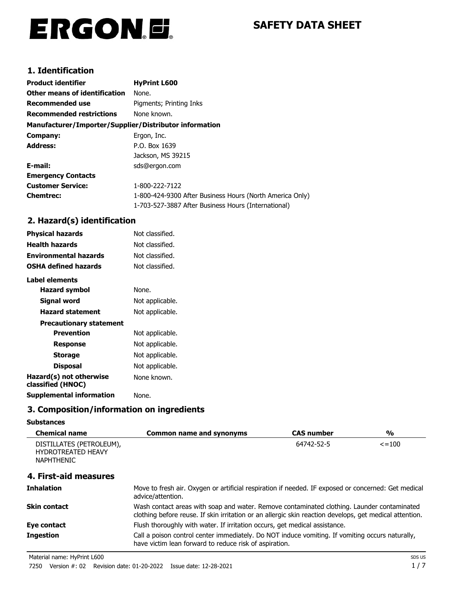# ERGON.E.

# **SAFETY DATA SHEET**

## **1. Identification**

| <b>Product identifier</b>                              | <b>HyPrint L600</b>                                      |
|--------------------------------------------------------|----------------------------------------------------------|
| <b>Other means of identification</b>                   | None.                                                    |
| Recommended use                                        | Pigments; Printing Inks                                  |
| <b>Recommended restrictions</b>                        | None known.                                              |
| Manufacturer/Importer/Supplier/Distributor information |                                                          |
| Company:                                               | Ergon, Inc.                                              |
| <b>Address:</b>                                        | P.O. Box 1639                                            |
|                                                        | Jackson, MS 39215                                        |
| E-mail:                                                | sds@ergon.com                                            |
| <b>Emergency Contacts</b>                              |                                                          |
| <b>Customer Service:</b>                               | 1-800-222-7122                                           |
| <b>Chemtrec:</b>                                       | 1-800-424-9300 After Business Hours (North America Only) |
|                                                        | 1-703-527-3887 After Business Hours (International)      |

## **2. Hazard(s) identification**

| Not classified. |
|-----------------|
| Not classified. |
| Not classified. |
| Not classified. |
|                 |
| None.           |
| Not applicable. |
| Not applicable. |
|                 |
| Not applicable. |
| Not applicable. |
| Not applicable. |
| Not applicable. |
| None known.     |
| None.           |
|                 |

# **3. Composition/information on ingredients**

#### **Substances**

| <b>Chemical name</b>                                                       | <b>Common name and synonyms</b>                                                                                                                                                                       | <b>CAS number</b> | $\frac{1}{2}$ |
|----------------------------------------------------------------------------|-------------------------------------------------------------------------------------------------------------------------------------------------------------------------------------------------------|-------------------|---------------|
| DISTILLATES (PETROLEUM),<br><b>HYDROTREATED HEAVY</b><br><b>NAPHTHENIC</b> |                                                                                                                                                                                                       | 64742-52-5        | $\leq$ = 100  |
| 4. First-aid measures                                                      |                                                                                                                                                                                                       |                   |               |
| <b>Inhalation</b>                                                          | Move to fresh air. Oxygen or artificial respiration if needed. IF exposed or concerned: Get medical<br>advice/attention.                                                                              |                   |               |
| <b>Skin contact</b>                                                        | Wash contact areas with soap and water. Remove contaminated clothing. Launder contaminated<br>clothing before reuse. If skin irritation or an allergic skin reaction develops, get medical attention. |                   |               |
| Eye contact                                                                | Flush thoroughly with water. If irritation occurs, get medical assistance.                                                                                                                            |                   |               |
| <b>Ingestion</b>                                                           | Call a poison control center immediately. Do NOT induce vomiting. If vomiting occurs naturally,<br>have victim lean forward to reduce risk of aspiration.                                             |                   |               |

Material name: HyPrint L600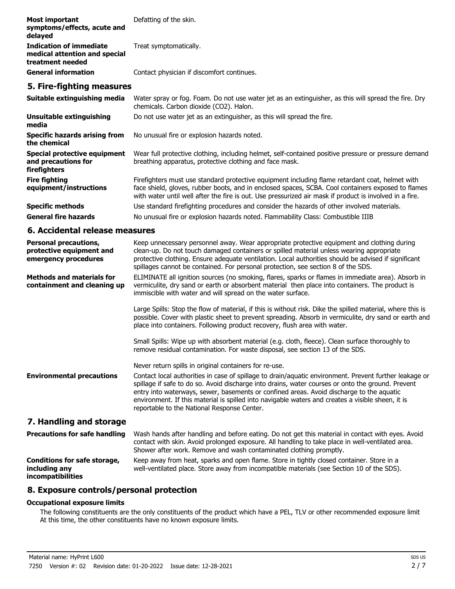| <b>Most important</b><br>symptoms/effects, acute and<br>delayed              | Defatting of the skin.                                                                                                           |
|------------------------------------------------------------------------------|----------------------------------------------------------------------------------------------------------------------------------|
| Indication of immediate<br>medical attention and special<br>treatment needed | Treat symptomatically.                                                                                                           |
| <b>General information</b>                                                   | Contact physician if discomfort continues.                                                                                       |
| 5. Fire-fighting measures                                                    |                                                                                                                                  |
|                                                                              | Cultable evitinguishing media Motor covey or for Form Do not use unter ist as an outjoinidece as this will sovered the fire Drug |

| Suitable extinguishing media                                        | Water spray or fog. Foam. Do not use water jet as an extinguisher, as this will spread the fire. Dry<br>chemicals. Carbon dioxide (CO2). Halon.                                                                                                                                                                  |
|---------------------------------------------------------------------|------------------------------------------------------------------------------------------------------------------------------------------------------------------------------------------------------------------------------------------------------------------------------------------------------------------|
| Unsuitable extinguishing<br>media                                   | Do not use water jet as an extinguisher, as this will spread the fire.                                                                                                                                                                                                                                           |
| <b>Specific hazards arising from</b><br>the chemical                | No unusual fire or explosion hazards noted.                                                                                                                                                                                                                                                                      |
| Special protective equipment<br>and precautions for<br>firefighters | Wear full protective clothing, including helmet, self-contained positive pressure or pressure demand<br>breathing apparatus, protective clothing and face mask.                                                                                                                                                  |
| <b>Fire fighting</b><br>equipment/instructions                      | Firefighters must use standard protective equipment including flame retardant coat, helmet with<br>face shield, gloves, rubber boots, and in enclosed spaces, SCBA. Cool containers exposed to flames<br>with water until well after the fire is out. Use pressurized air mask if product is involved in a fire. |
| <b>Specific methods</b>                                             | Use standard firefighting procedures and consider the hazards of other involved materials.                                                                                                                                                                                                                       |
| <b>General fire hazards</b>                                         | No unusual fire or explosion hazards noted. Flammability Class: Combustible IIIB                                                                                                                                                                                                                                 |

#### **6. Accidental release measures**

| <b>Personal precautions,</b><br>protective equipment and<br>emergency procedures | Keep unnecessary personnel away. Wear appropriate protective equipment and clothing during<br>clean-up. Do not touch damaged containers or spilled material unless wearing appropriate<br>protective clothing. Ensure adequate ventilation. Local authorities should be advised if significant<br>spillages cannot be contained. For personal protection, see section 8 of the SDS.                                                                         |
|----------------------------------------------------------------------------------|-------------------------------------------------------------------------------------------------------------------------------------------------------------------------------------------------------------------------------------------------------------------------------------------------------------------------------------------------------------------------------------------------------------------------------------------------------------|
| <b>Methods and materials for</b><br>containment and cleaning up                  | ELIMINATE all ignition sources (no smoking, flares, sparks or flames in immediate area). Absorb in<br>vermiculite, dry sand or earth or absorbent material then place into containers. The product is<br>immiscible with water and will spread on the water surface.                                                                                                                                                                                        |
|                                                                                  | Large Spills: Stop the flow of material, if this is without risk. Dike the spilled material, where this is<br>possible. Cover with plastic sheet to prevent spreading. Absorb in vermiculite, dry sand or earth and<br>place into containers. Following product recovery, flush area with water.                                                                                                                                                            |
|                                                                                  | Small Spills: Wipe up with absorbent material (e.g. cloth, fleece). Clean surface thoroughly to<br>remove residual contamination. For waste disposal, see section 13 of the SDS.                                                                                                                                                                                                                                                                            |
|                                                                                  | Never return spills in original containers for re-use.                                                                                                                                                                                                                                                                                                                                                                                                      |
| <b>Environmental precautions</b>                                                 | Contact local authorities in case of spillage to drain/aquatic environment. Prevent further leakage or<br>spillage if safe to do so. Avoid discharge into drains, water courses or onto the ground. Prevent<br>entry into waterways, sewer, basements or confined areas. Avoid discharge to the aquatic<br>environment. If this material is spilled into navigable waters and creates a visible sheen, it is<br>reportable to the National Response Center. |
| 7. Handling and storage                                                          |                                                                                                                                                                                                                                                                                                                                                                                                                                                             |
| <b>Precautions for safe handling</b>                                             | Wash hands after handling and before eating. Do not get this material in contact with eyes. Avoid<br>contact with skin. Avoid prolonged exposure. All handling to take place in well-ventilated area.<br>Shower after work. Remove and wash contaminated clothing promptly.                                                                                                                                                                                 |
| <b>Conditions for safe storage,</b><br>including any<br>incompatibilities        | Keep away from heat, sparks and open flame. Store in tightly closed container. Store in a<br>well-ventilated place. Store away from incompatible materials (see Section 10 of the SDS).                                                                                                                                                                                                                                                                     |

#### **8. Exposure controls/personal protection**

#### **Occupational exposure limits**

The following constituents are the only constituents of the product which have a PEL, TLV or other recommended exposure limit. At this time, the other constituents have no known exposure limits.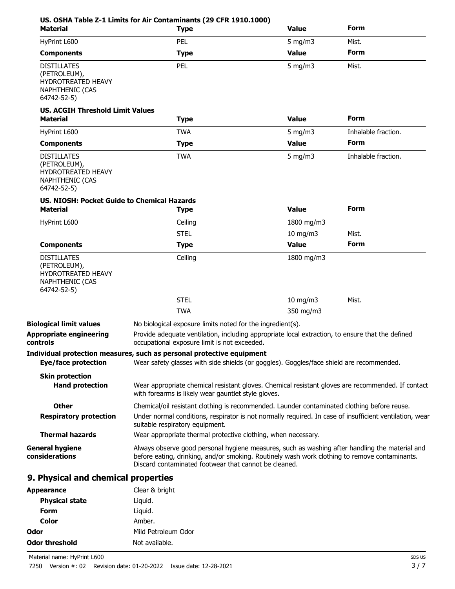| <b>Material</b>                                                                                          | <b>Type</b>                                                                                                                                                                                                                                              | <b>Value</b>     | <b>Form</b>         |
|----------------------------------------------------------------------------------------------------------|----------------------------------------------------------------------------------------------------------------------------------------------------------------------------------------------------------------------------------------------------------|------------------|---------------------|
| HyPrint L600                                                                                             | PEL                                                                                                                                                                                                                                                      | $5 \text{ mg/m}$ | Mist.               |
| <b>Components</b>                                                                                        | <b>Type</b>                                                                                                                                                                                                                                              | <b>Value</b>     | Form                |
| <b>DISTILLATES</b><br>(PETROLEUM),<br><b>HYDROTREATED HEAVY</b><br><b>NAPHTHENIC (CAS</b><br>64742-52-5) | PEL                                                                                                                                                                                                                                                      | 5 mg/m $3$       | Mist.               |
| <b>US. ACGIH Threshold Limit Values</b><br><b>Material</b>                                               | <b>Type</b>                                                                                                                                                                                                                                              | <b>Value</b>     | <b>Form</b>         |
| HyPrint L600                                                                                             | <b>TWA</b>                                                                                                                                                                                                                                               | $5$ mg/m $3$     | Inhalable fraction. |
| <b>Components</b>                                                                                        | <b>Type</b>                                                                                                                                                                                                                                              | <b>Value</b>     | Form                |
| <b>DISTILLATES</b><br>(PETROLEUM),<br>HYDROTREATED HEAVY<br>NAPHTHENIC (CAS<br>64742-52-5)               | <b>TWA</b>                                                                                                                                                                                                                                               | $5$ mg/m $3$     | Inhalable fraction. |
| US. NIOSH: Pocket Guide to Chemical Hazards<br><b>Material</b>                                           | <b>Type</b>                                                                                                                                                                                                                                              | <b>Value</b>     | <b>Form</b>         |
| HyPrint L600                                                                                             | Ceiling                                                                                                                                                                                                                                                  | 1800 mg/m3       |                     |
|                                                                                                          | <b>STEL</b>                                                                                                                                                                                                                                              | $10$ mg/m $3$    | Mist.               |
| <b>Components</b>                                                                                        | <b>Type</b>                                                                                                                                                                                                                                              | <b>Value</b>     | Form                |
| <b>DISTILLATES</b><br>(PETROLEUM),<br><b>HYDROTREATED HEAVY</b><br><b>NAPHTHENIC (CAS</b><br>64742-52-5) | Ceiling                                                                                                                                                                                                                                                  | 1800 mg/m3       |                     |
|                                                                                                          | <b>STEL</b>                                                                                                                                                                                                                                              | $10$ mg/m $3$    | Mist.               |
|                                                                                                          | <b>TWA</b>                                                                                                                                                                                                                                               | 350 mg/m3        |                     |
| <b>Biological limit values</b><br><b>Appropriate engineering</b><br>controls                             | No biological exposure limits noted for the ingredient(s).<br>Provide adequate ventilation, including appropriate local extraction, to ensure that the defined<br>occupational exposure limit is not exceeded.                                           |                  |                     |
| Eye/face protection                                                                                      | Individual protection measures, such as personal protective equipment<br>Wear safety glasses with side shields (or goggles). Goggles/face shield are recommended.                                                                                        |                  |                     |
| <b>Skin protection</b><br><b>Hand protection</b>                                                         | Wear appropriate chemical resistant gloves. Chemical resistant gloves are recommended. If contact<br>with forearms is likely wear gauntlet style gloves.                                                                                                 |                  |                     |
| <b>Other</b>                                                                                             | Chemical/oil resistant clothing is recommended. Launder contaminated clothing before reuse.                                                                                                                                                              |                  |                     |
| <b>Respiratory protection</b>                                                                            | Under normal conditions, respirator is not normally required. In case of insufficient ventilation, wear<br>suitable respiratory equipment.                                                                                                               |                  |                     |
| <b>Thermal hazards</b>                                                                                   | Wear appropriate thermal protective clothing, when necessary.                                                                                                                                                                                            |                  |                     |
| <b>General hygiene</b><br>considerations                                                                 | Always observe good personal hygiene measures, such as washing after handling the material and<br>before eating, drinking, and/or smoking. Routinely wash work clothing to remove contaminants.<br>Discard contaminated footwear that cannot be cleaned. |                  |                     |
| 9. Physical and chemical properties                                                                      |                                                                                                                                                                                                                                                          |                  |                     |
| <b>Appearance</b>                                                                                        | Clear & bright                                                                                                                                                                                                                                           |                  |                     |
| <b>Physical state</b>                                                                                    | Liquid.                                                                                                                                                                                                                                                  |                  |                     |
| <b>Form</b>                                                                                              | Liquid.                                                                                                                                                                                                                                                  |                  |                     |

**Color** Amber.

**Odor threshold** Not available.

**Odor** Mild Petroleum Odor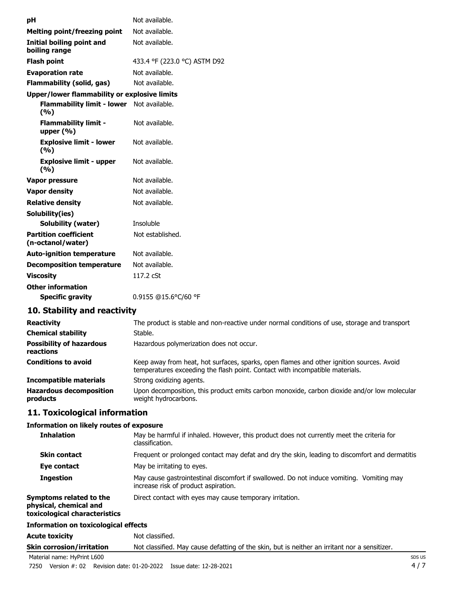| рH                                                  | Not available.               |
|-----------------------------------------------------|------------------------------|
| <b>Melting point/freezing point</b>                 | Not available.               |
| Initial boiling point and<br>boiling range          | Not available.               |
| <b>Flash point</b>                                  | 433.4 °F (223.0 °C) ASTM D92 |
| <b>Evaporation rate</b>                             | Not available.               |
| <b>Flammability (solid, gas)</b>                    | Not available.               |
| <b>Upper/lower flammability or explosive limits</b> |                              |
| <b>Flammability limit - lower</b><br>(%)            | Not available.               |
| <b>Flammability limit -</b><br>upper $(\% )$        | Not available.               |
| <b>Explosive limit - lower</b><br>(9/6)             | Not available.               |
| <b>Explosive limit - upper</b><br>(9/6)             | Not available.               |
| Vapor pressure                                      | Not available.               |
| <b>Vapor density</b>                                | Not available.               |
| <b>Relative density</b>                             | Not available.               |
| Solubility(ies)                                     |                              |
| <b>Solubility (water)</b>                           | Insoluble                    |
| <b>Partition coefficient</b><br>(n-octanol/water)   | Not established.             |
| <b>Auto-ignition temperature</b>                    | Not available.               |
| <b>Decomposition temperature</b>                    | Not available.               |
| <b>Viscosity</b>                                    | 117.2 cSt                    |
| <b>Other information</b>                            |                              |
| <b>Specific gravity</b>                             | 0.9155 @15.6°C/60 °F         |

### **10. Stability and reactivity**

| <b>Reactivity</b>                            | The product is stable and non-reactive under normal conditions of use, storage and transport                                                                             |
|----------------------------------------------|--------------------------------------------------------------------------------------------------------------------------------------------------------------------------|
| <b>Chemical stability</b>                    | Stable.                                                                                                                                                                  |
| <b>Possibility of hazardous</b><br>reactions | Hazardous polymerization does not occur.                                                                                                                                 |
| <b>Conditions to avoid</b>                   | Keep away from heat, hot surfaces, sparks, open flames and other ignition sources. Avoid<br>temperatures exceeding the flash point. Contact with incompatible materials. |
| <b>Incompatible materials</b>                | Strong oxidizing agents.                                                                                                                                                 |
| <b>Hazardous decomposition</b><br>products   | Upon decomposition, this product emits carbon monoxide, carbon dioxide and/or low molecular<br>weight hydrocarbons.                                                      |

#### **11. Toxicological information**

#### **Information on likely routes of exposure**

| <b>Inhalation</b>                                                                  | May be harmful if inhaled. However, this product does not currently meet the criteria for<br>classification.                     |
|------------------------------------------------------------------------------------|----------------------------------------------------------------------------------------------------------------------------------|
| <b>Skin contact</b>                                                                | Frequent or prolonged contact may defat and dry the skin, leading to discomfort and dermatitis                                   |
| Eye contact                                                                        | May be irritating to eyes.                                                                                                       |
| <b>Ingestion</b>                                                                   | May cause gastrointestinal discomfort if swallowed. Do not induce vomiting. Vomiting may<br>increase risk of product aspiration. |
| Symptoms related to the<br>physical, chemical and<br>toxicological characteristics | Direct contact with eyes may cause temporary irritation.                                                                         |
| Information on toxicological effects                                               |                                                                                                                                  |

# Acute toxicity **Not classified. Skin corrosion/irritation** Not classified. May cause defatting of the skin, but is neither an irritant nor a sensitizer.

Material name: HyPrint L600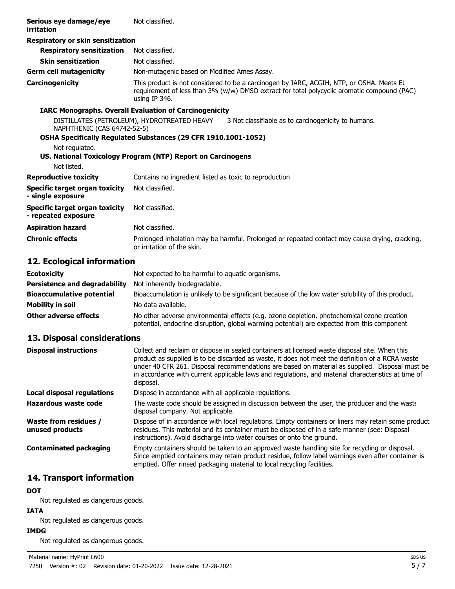| Serious eye damage/eye<br>irritation                                                                                                                                                                | Not classified.                                                                                                                                                                                          |  |
|-----------------------------------------------------------------------------------------------------------------------------------------------------------------------------------------------------|----------------------------------------------------------------------------------------------------------------------------------------------------------------------------------------------------------|--|
| Respiratory or skin sensitization                                                                                                                                                                   |                                                                                                                                                                                                          |  |
| <b>Respiratory sensitization</b>                                                                                                                                                                    | Not classified.                                                                                                                                                                                          |  |
| <b>Skin sensitization</b>                                                                                                                                                                           | Not classified.                                                                                                                                                                                          |  |
| <b>Germ cell mutagenicity</b>                                                                                                                                                                       | Non-mutagenic based on Modified Ames Assay.                                                                                                                                                              |  |
| Carcinogenicity                                                                                                                                                                                     | This product is not considered to be a carcinogen by IARC, ACGIH, NTP, or OSHA. Meets EL<br>requirement of less than 3% (w/w) DMSO extract for total polycyclic aromatic compound (PAC)<br>using IP 346. |  |
| <b>IARC Monographs. Overall Evaluation of Carcinogenicity</b>                                                                                                                                       |                                                                                                                                                                                                          |  |
| DISTILLATES (PETROLEUM), HYDROTREATED HEAVY<br>3 Not classifiable as to carcinogenicity to humans.<br>NAPHTHENIC (CAS 64742-52-5)<br>OSHA Specifically Regulated Substances (29 CFR 1910.1001-1052) |                                                                                                                                                                                                          |  |
| Not regulated.                                                                                                                                                                                      |                                                                                                                                                                                                          |  |
|                                                                                                                                                                                                     | US. National Toxicology Program (NTP) Report on Carcinogens                                                                                                                                              |  |
| Not listed.                                                                                                                                                                                         |                                                                                                                                                                                                          |  |
| <b>Reproductive toxicity</b>                                                                                                                                                                        | Contains no ingredient listed as toxic to reproduction                                                                                                                                                   |  |
| <b>Specific target organ toxicity</b><br>- single exposure                                                                                                                                          | Not classified.                                                                                                                                                                                          |  |
| Specific target organ toxicity<br>- repeated exposure                                                                                                                                               | Not classified.                                                                                                                                                                                          |  |
| <b>Aspiration hazard</b>                                                                                                                                                                            | Not classified.                                                                                                                                                                                          |  |
| <b>Chronic effects</b>                                                                                                                                                                              | Prolonged inhalation may be harmful. Prolonged or repeated contact may cause drying, cracking,<br>or irritation of the skin.                                                                             |  |

### **12. Ecological information**

| <b>Ecotoxicity</b>                   | Not expected to be harmful to aquatic organisms.                                                                                                                                          |
|--------------------------------------|-------------------------------------------------------------------------------------------------------------------------------------------------------------------------------------------|
| <b>Persistence and degradability</b> | Not inherently biodegradable.                                                                                                                                                             |
| <b>Bioaccumulative potential</b>     | Bioaccumulation is unlikely to be significant because of the low water solubility of this product.                                                                                        |
| Mobility in soil                     | No data available.                                                                                                                                                                        |
| Other adverse effects                | No other adverse environmental effects (e.g. ozone depletion, photochemical ozone creation<br>potential, endocrine disruption, global warming potential) are expected from this component |

#### **13. Disposal considerations**

| <b>Disposal instructions</b>                    | Collect and reclaim or dispose in sealed containers at licensed waste disposal site. When this<br>product as supplied is to be discarded as waste, it does not meet the definition of a RCRA waste<br>under 40 CFR 261. Disposal recommendations are based on material as supplied. Disposal must be<br>in accordance with current applicable laws and regulations, and material characteristics at time of<br>disposal. |  |
|-------------------------------------------------|--------------------------------------------------------------------------------------------------------------------------------------------------------------------------------------------------------------------------------------------------------------------------------------------------------------------------------------------------------------------------------------------------------------------------|--|
| Local disposal regulations                      | Dispose in accordance with all applicable regulations.                                                                                                                                                                                                                                                                                                                                                                   |  |
| Hazardous waste code                            | The waste code should be assigned in discussion between the user, the producer and the waste<br>disposal company. Not applicable.                                                                                                                                                                                                                                                                                        |  |
| <b>Waste from residues /</b><br>unused products | Dispose of in accordance with local regulations. Empty containers or liners may retain some product<br>residues. This material and its container must be disposed of in a safe manner (see: Disposal<br>instructions). Avoid discharge into water courses or onto the ground.                                                                                                                                            |  |
| <b>Contaminated packaging</b>                   | Empty containers should be taken to an approved waste handling site for recycling or disposal.<br>Since emptied containers may retain product residue, follow label warnings even after container is<br>emptied. Offer rinsed packaging material to local recycling facilities.                                                                                                                                          |  |

### **14. Transport information**

## **DOT**

Not regulated as dangerous goods.

#### **IATA**

Not regulated as dangerous goods.

#### **IMDG**

Not regulated as dangerous goods.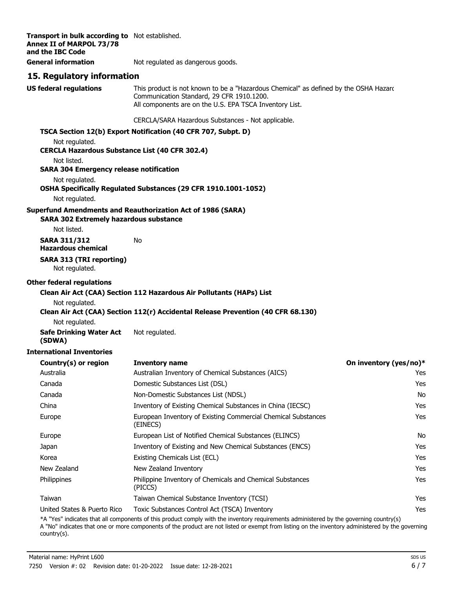| Transport in bulk according to Not established.<br><b>Annex II of MARPOL 73/78</b><br>and the IBC Code |                                                                                                                                                                                              |                        |
|--------------------------------------------------------------------------------------------------------|----------------------------------------------------------------------------------------------------------------------------------------------------------------------------------------------|------------------------|
| <b>General information</b>                                                                             | Not regulated as dangerous goods.                                                                                                                                                            |                        |
| 15. Regulatory information                                                                             |                                                                                                                                                                                              |                        |
| <b>US federal regulations</b>                                                                          | This product is not known to be a "Hazardous Chemical" as defined by the OSHA Hazard<br>Communication Standard, 29 CFR 1910.1200.<br>All components are on the U.S. EPA TSCA Inventory List. |                        |
|                                                                                                        | CERCLA/SARA Hazardous Substances - Not applicable.                                                                                                                                           |                        |
|                                                                                                        | TSCA Section 12(b) Export Notification (40 CFR 707, Subpt. D)                                                                                                                                |                        |
| Not regulated.<br><b>CERCLA Hazardous Substance List (40 CFR 302.4)</b>                                |                                                                                                                                                                                              |                        |
| Not listed.<br><b>SARA 304 Emergency release notification</b>                                          |                                                                                                                                                                                              |                        |
| Not regulated.                                                                                         | OSHA Specifically Regulated Substances (29 CFR 1910.1001-1052)                                                                                                                               |                        |
| Not regulated.                                                                                         |                                                                                                                                                                                              |                        |
| <b>SARA 302 Extremely hazardous substance</b>                                                          | <b>Superfund Amendments and Reauthorization Act of 1986 (SARA)</b>                                                                                                                           |                        |
| Not listed.                                                                                            |                                                                                                                                                                                              |                        |
| <b>SARA 311/312</b><br><b>Hazardous chemical</b>                                                       | No                                                                                                                                                                                           |                        |
| <b>SARA 313 (TRI reporting)</b><br>Not regulated.                                                      |                                                                                                                                                                                              |                        |
| <b>Other federal regulations</b>                                                                       |                                                                                                                                                                                              |                        |
|                                                                                                        | Clean Air Act (CAA) Section 112 Hazardous Air Pollutants (HAPs) List                                                                                                                         |                        |
| Not regulated.                                                                                         |                                                                                                                                                                                              |                        |
| Not regulated.                                                                                         | Clean Air Act (CAA) Section 112(r) Accidental Release Prevention (40 CFR 68.130)                                                                                                             |                        |
| <b>Safe Drinking Water Act</b>                                                                         | Not regulated.                                                                                                                                                                               |                        |
| (SDWA)                                                                                                 |                                                                                                                                                                                              |                        |
| <b>International Inventories</b>                                                                       |                                                                                                                                                                                              |                        |
| Country(s) or region                                                                                   | <b>Inventory name</b>                                                                                                                                                                        | On inventory (yes/no)* |
| Australia                                                                                              | Australian Inventory of Chemical Substances (AICS)                                                                                                                                           | Yes                    |
| Canada                                                                                                 | Domestic Substances List (DSL)                                                                                                                                                               | Yes                    |
| Canada                                                                                                 | Non-Domestic Substances List (NDSL)                                                                                                                                                          | No                     |
| China                                                                                                  | Inventory of Existing Chemical Substances in China (IECSC)                                                                                                                                   | Yes                    |
| Europe                                                                                                 | European Inventory of Existing Commercial Chemical Substances<br>(EINECS)                                                                                                                    | Yes                    |
| Europe                                                                                                 | European List of Notified Chemical Substances (ELINCS)                                                                                                                                       | No                     |
| Japan                                                                                                  | Inventory of Existing and New Chemical Substances (ENCS)                                                                                                                                     | Yes                    |
| Korea                                                                                                  | Existing Chemicals List (ECL)                                                                                                                                                                | Yes                    |
| New Zealand                                                                                            | New Zealand Inventory                                                                                                                                                                        | Yes                    |
| Philippines                                                                                            | Philippine Inventory of Chemicals and Chemical Substances<br>(PICCS)                                                                                                                         | Yes                    |
| Taiwan                                                                                                 | Taiwan Chemical Substance Inventory (TCSI)                                                                                                                                                   | Yes                    |
| United States & Puerto Rico                                                                            | Toxic Substances Control Act (TSCA) Inventory                                                                                                                                                | Yes                    |
|                                                                                                        | *A "Yes" indicates that all components of this product comply with the inventory requirements administered by the governing country(s)                                                       |                        |

A "No" indicates that one or more components of the product are not listed or exempt from listing on the inventory administered by the governing country(s).